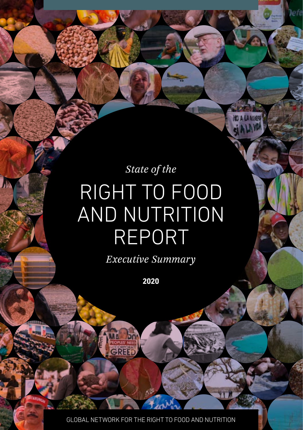# *State of the*  RIGHT TO FOOD AND NUTRITION REPORT

*Executive Summary*

**2020**

GLOBAL NETWORK FOR THE RIGHT TO FOOD AND NUTRITION

GREET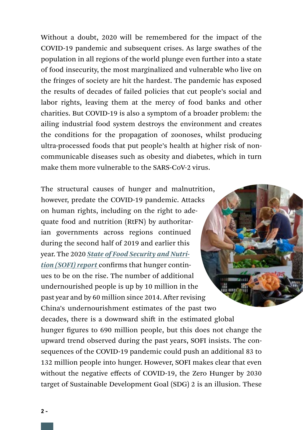Without a doubt, 2020 will be remembered for the impact of the COVID-19 pandemic and subsequent crises. As large swathes of the population in all regions of the world plunge even further into a state of food insecurity, the most marginalized and vulnerable who live on the fringes of society are hit the hardest. The pandemic has exposed the results of decades of failed policies that cut people's social and labor rights, leaving them at the mercy of food banks and other charities. But COVID-19 is also a symptom of a broader problem: the ailing industrial food system destroys the environment and creates the conditions for the propagation of zoonoses, whilst producing ultra-processed foods that put people's health at higher risk of noncommunicable diseases such as obesity and diabetes, which in turn make them more vulnerable to the SARS-CoV-2 virus.

The structural causes of hunger and malnutrition, however, predate the COVID-19 pandemic. Attacks on human rights, including on the right to adequate food and nutrition (RtFN) by authoritarian governments across regions continued during the second half of 2019 and earlier this year. The 2020 *[State of Food Security and Nutri](http://www.fao.org/publications/sofi/en/)[tion \(SOFI\) report](http://www.fao.org/publications/sofi/en/)* confirms that hunger continues to be on the rise. The number of additional ill age undernourished people is up by 10 million in the past year and by 60 million since 2014. After revising China's undernourishment estimates of the past two decades, there is a downward shift in the estimated global hunger figures to 690 million people, but this does not change the upward trend observed during the past years, SOFI insists. The consequences of the COVID-19 pandemic could push an additional 83 to 132 million people into hunger. However, SOFI makes clear that even without the negative effects of COVID-19, the Zero Hunger by 2030 target of Sustainable Development Goal (SDG) 2 is an illusion. These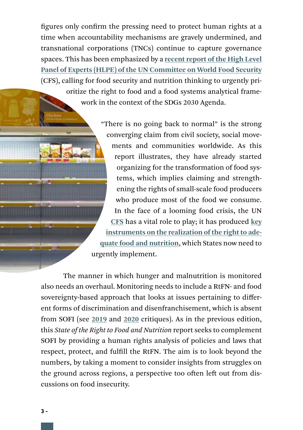figures only confirm the pressing need to protect human rights at a time when accountability mechanisms are gravely undermined, and transnational corporations (TNCs) continue to capture governance spaces. This has been emphasized by a **[recent report of the High Level](http://www.fao.org/fileadmin/user_upload/hlpe/2020._Global_Narrative/HLPE_15__2020_._Global_Narrative_2030.pdf)  [Panel of Experts \(HLPE\) of the UN Committee on World Food Security](http://www.fao.org/fileadmin/user_upload/hlpe/2020._Global_Narrative/HLPE_15__2020_._Global_Narrative_2030.pdf)** (CFS), calling for food security and nutrition thinking to urgently prioritize the right to food and a food systems analytical framework in the context of the SDGs 2030 Agenda.

> "There is no going back to normal" is the strong converging claim from civil society, social movements and communities worldwide. As this report illustrates, they have already started organizing for the transformation of food systems, which implies claiming and strengthening the rights of small-scale food producers who produce most of the food we consume. In the face of a looming food crisis, the UN **[CFS](http://www.fao.org/cfs)** has a vital role to play; it has produced **[key](http://www.fao.org/cfs/home/products/en/)  [instruments on the realization of the right to ade](http://www.fao.org/cfs/home/products/en/)[quate food and nutrition](http://www.fao.org/cfs/home/products/en/)**, which States now need to urgently implement.

The manner in which hunger and malnutrition is monitored also needs an overhaul. Monitoring needs to include a RtFN- and food sovereignty-based approach that looks at issues pertaining to different forms of discrimination and disenfranchisement, which is absent from SOFI (see **[2019](https://www.fian.org/en/news/article/sofi-2019-first-reactions-improvements-and-setbacks-2183)** and **[2020](https://www.fian.org/en/press-release/article/sofi-report-acknowledges-urgent-need-for-food-systems-transformation-2531)** critiques). As in the previous edition, this *State of the Right to Food and Nutrition* report seeks to complement SOFI by providing a human rights analysis of policies and laws that respect, protect, and fulfill the RtFN. The aim is to look beyond the numbers, by taking a moment to consider insights from struggles on the ground across regions, a perspective too often left out from discussions on food insecurity.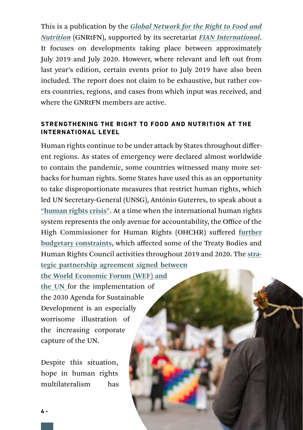This is a publication by the *[Global Network for the Right to Food and](https://www.righttofoodandnutrition.org/)  [Nutrition](https://www.righttofoodandnutrition.org/)* (GNRtFN), supported by its secretariat *FIAN International*. It focuses on developments taking place between approximately July 2019 and July 2020. However, where relevant and left out from last year's edition, certain events prior to July 2019 have also been included. The report does not claim to be exhaustive, but rather covers countries, regions, and cases from which input was received, and where the GNRtFN members are active.

## **STRENGTHENING THE RIGHT TO FOOD AND NUTRITION AT THE INTERNATIONAL LEVEL**

Human rights continue to be under attack by States throughout different regions. As states of emergency were declared almost worldwide to contain the pandemic, some countries witnessed many more setbacks for human rights. Some States have used this as an opportunity to take disproportionate measures that restrict human rights, which led UN Secretary-General (UNSG), António Guterres, to speak about a **["human rights crisis"](https://www.un.org/en/un-coronavirus-communications-team/we-are-all-together-human-rights-and-covid-19-response-and)**. At a time when the international human rights system represents the only avenue for accountability, the Office of the High Commissioner for Human Rights (OHCHR) suffered **[further](https://www.fian.org/en/news/article/un-budget-turns-its-back-on-human-rights--2285)  [budgetary constraints](https://www.fian.org/en/news/article/un-budget-turns-its-back-on-human-rights--2285)**, which affected some of the Treaty Bodies and Human Rights Council activities throughout 2019 and 2020. The **[stra](https://www.weforum.org/press/2019/06/world-economic-forum-and-un-sign-strategic-partnership-framework/)[tegic partnership agreement signed between](https://www.weforum.org/press/2019/06/world-economic-forum-and-un-sign-strategic-partnership-framework/)** 

**[the World Economic Forum \(WEF\) and](https://www.weforum.org/press/2019/06/world-economic-forum-and-un-sign-strategic-partnership-framework/)  [the UN](https://www.weforum.org/press/2019/06/world-economic-forum-and-un-sign-strategic-partnership-framework/)** for the implementation of the 2030 Agenda for Sustainable Development is an especially worrisome illustration of the increasing corporate capture of the UN.

Despite this situation, hope in human rights multilateralism has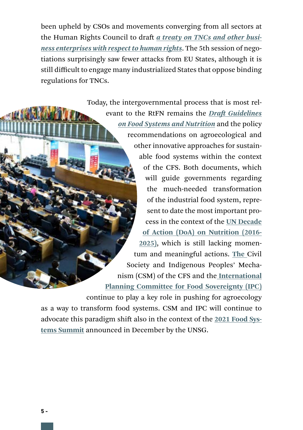been upheld by CSOs and movements converging from all sectors at the Human Rights Council to draft *a [treaty on TNCs and other busi](https://www.ohchr.org/EN/HRBodies/HRC/WGTransCorp/Pages/IGWGOnTNC.aspx)[ness enterprises with respect to human rights](https://www.ohchr.org/EN/HRBodies/HRC/WGTransCorp/Pages/IGWGOnTNC.aspx)*. The 5th session of negotiations surprisingly saw fewer attacks from EU States, although it is still difficult to engage many industrialized States that oppose binding regulations for TNCs.

> Today, the intergovernmental process that is most relevant to the RtFN remains the *[Draft Guidelines](http://www.fao.org/cfs/home/activities/nutrition/en/)  [on Food Systems and Nutrition](http://www.fao.org/cfs/home/activities/nutrition/en/)* and the policy recommendations on agroecological and other innovative approaches for sustainable food systems within the context of the CFS. Both documents, which will guide governments regarding the much-needed transformation of the industrial food system, represent to date the most important process in the context of the **[UN Decade](https://www.un.org/nutrition/)  [of Action \(DoA\) on Nutrition \(2016-](https://www.un.org/nutrition/) [2025\)](https://www.un.org/nutrition/)**, which is still lacking momentum and meaningful actions. **The** [Civil](http://www.csm4cfs.org/)  [Society and Indigenous Peoples' Mecha](http://www.csm4cfs.org/)[nism \(CSM\)](http://www.csm4cfs.org/) of the CFS and the **[International](https://www.foodsovereignty.org/)  [Planning Committee for Food Sovereignty \(IPC\)](https://www.foodsovereignty.org/)**

continue to play a key role in pushing for agroecology as a way to transform food systems. CSM and IPC will continue to advocate this paradigm shift also in the context of the **[2021 Food Sys](https://www.un.org/sustainabledevelopment/food-systems-summit-2021/)[tems Summit](https://www.un.org/sustainabledevelopment/food-systems-summit-2021/)** announced in December by the UNSG.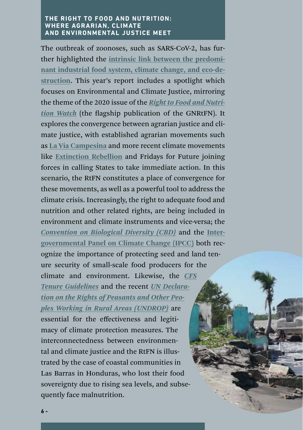#### **THE RIGHT TO FOOD AND NUTRITION: WHERE AGRARIAN, CLIMATE AND ENVIRONMENTAL JUSTICE MEET**

The outbreak of zoonoses, such as SARS-CoV-2, has further highlighted the **[intrinsic link between the predomi](http://wedocs.unep.org/bitstream/handle/20.500.11822/7664/Frontiers_2016.pdf?sequence=1&isAllowed=y)[nant industrial food system, climate change, and eco-de](http://wedocs.unep.org/bitstream/handle/20.500.11822/7664/Frontiers_2016.pdf?sequence=1&isAllowed=y)[struction](http://wedocs.unep.org/bitstream/handle/20.500.11822/7664/Frontiers_2016.pdf?sequence=1&isAllowed=y)**. This year's report includes a spotlight which focuses on Environmental and Climate Justice, mirroring the theme of the 2020 issue of the *[Right to Food and Nutri](https://www.righttofoodandnutrition.org/watch)[tion Watch](https://www.righttofoodandnutrition.org/watch)* (the flagship publication of the GNRtFN). It explores the convergence between agrarian justice and climate justice, with established agrarian movements such as **[La Vía Campesina](https://viacampesina.org/en/)** and more recent climate movements like **[Extinction Rebellion](https://rebellion.earth/)** and [Fridays for Future](https://fridaysforfuture.org) joining forces in calling States to take immediate action. In this scenario, the RtFN constitutes a place of convergence for these movements, as well as a powerful tool to address the climate crisis. Increasingly, the right to adequate food and nutrition and other related rights, are being included in environment and climate instruments and vice-versa; the *[Convention on Biological Diversity \(CBD\)](https://www.cbd.int/)* and the **[Inter](https://www.ipcc.ch/srccl/)[governmental Panel on Climate Change \(IPCC\)](https://www.ipcc.ch/srccl/)** both recognize the importance of protecting seed and land tenure security of small-scale food producers for the climate and environment. Likewise, the *[CFS](https://www.fian.org/fileadmin/media/publications_2015/2012_Voluntary_Guidelines_Tenure_Land_Fisheries_Forests.pdf)  [Tenure Guidelines](https://www.fian.org/fileadmin/media/publications_2015/2012_Voluntary_Guidelines_Tenure_Land_Fisheries_Forests.pdf)* and the recent *[UN Declara](https://undocs.org/en/A/RES/73/165)[tion on the Rights of Peasants and Other Peo](https://undocs.org/en/A/RES/73/165)[ples Working in Rural Areas \(UNDROP\)](https://undocs.org/en/A/RES/73/165)* are essential for the effectiveness and legitimacy of climate protection measures. The interconnectedness between environmental and climate justice and the RtFN is illustrated by the case of coastal communities in Las Barras in Honduras, who lost their food sovereignty due to rising sea levels, and subsequently face malnutrition.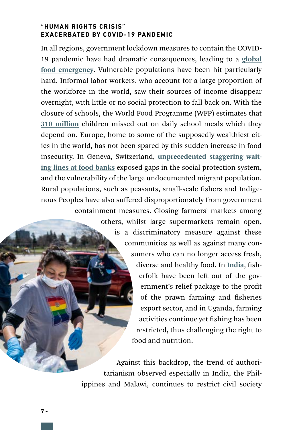### **"HUMAN RIGHTS CRISIS" EXACERBATED BY COVID-19 PANDEMIC**

In all regions, government lockdown measures to contain the COVID-19 pandemic have had dramatic consequences, leading to a **[global](https://www.un.org/sites/un2.un.org/files/sg_policy_brief_on_covid_impact_on_food_security.pdf)  [food emergency](https://www.un.org/sites/un2.un.org/files/sg_policy_brief_on_covid_impact_on_food_security.pdf)**. Vulnerable populations have been hit particularly hard. Informal labor workers, who account for a large proportion of the workforce in the world, saw their sources of income disappear overnight, with little or no social protection to fall back on. With the closure of schools, the World Food Programme (WFP) estimates that **[310 million](https://cdn.wfp.org/2020/school-feeding-map/?_ga=2.63572263.982488836.1591373547-1890028486.1585930400)** children missed out on daily school meals which they depend on. Europe, home to some of the supposedly wealthiest cities in the world, has not been spared by this sudden increase in food insecurity. In Geneva, Switzerland, **[unprecedented staggering wait](https://www.theguardian.com/world/2020/may/09/food-parcels-handed-out-to-workers-in-geneva-impacted-by-covid-19)[ing lines at food banks](https://www.theguardian.com/world/2020/may/09/food-parcels-handed-out-to-workers-in-geneva-impacted-by-covid-19)** exposed gaps in the social protection system, and the vulnerability of the large undocumented migrant population. Rural populations, such as peasants, small-scale fishers and Indigenous Peoples have also suffered disproportionately from government containment measures. Closing farmers' markets among

> others, whilst large supermarkets remain open, is a discriminatory measure against these communities as well as against many consumers who can no longer access fresh, diverse and healthy food. In **[India](https://www.thehindu.com/news/national/kerala/fishers-fume-over-stimulus-package/article31602900.ece)**, fisherfolk have been left out of the government's relief package to the profit of the prawn farming and fisheries export sector, and in Uganda, farming activities continue yet fishing has been restricted, thus challenging the right to food and nutrition.

Against this backdrop, the trend of authoritarianism observed especially in India, the Philippines and Malawi, continues to restrict civil society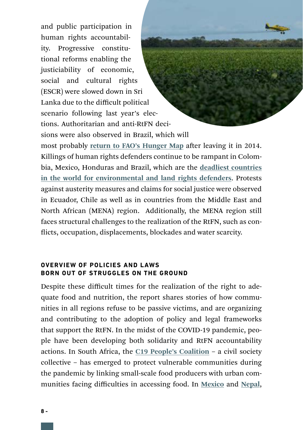and public participation in human rights accountability. Progressive constitutional reforms enabling the justiciability of economic. social and cultural rights (ESCR) were slowed down in Sri Lanka due to the difficult political scenario following last year's elections. Authoritarian and anti-RtFN decisions were also observed in Brazil, which will most probably **[return to FAO's Hunger Map](https://www.uol.com.br/ecoa/ultimas-noticias/2020/05/14/brasil-destroi-alimento-quando-volta-para-o-mapa-da-fome-e-encara-covid.htm)** after leaving it in 2014. Killings of human rights defenders continue to be rampant in Colombia, Mexico, Honduras and Brazil, which are the **[deadliest countries](https://www.frontlinedefenders.org/sites/default/files/global_analysis_2019_web.pdf)  [in the world for environmental and land rights defenders](https://www.frontlinedefenders.org/sites/default/files/global_analysis_2019_web.pdf)**. Protests against austerity measures and claims for social justice were observed in Ecuador, Chile as well as in countries from the Middle East and North African (MENA) region. Additionally, the MENA region still faces structural challenges to the realization of the RtFN, such as conflicts, occupation, displacements, blockades and water scarcity.

#### **OVERVIEW OF POLICIES AND LAWS BORN OUT OF STRUGGLES ON THE GROUND**

Despite these difficult times for the realization of the right to adequate food and nutrition, the report shares stories of how communities in all regions refuse to be passive victims, and are organizing and contributing to the adoption of policy and legal frameworks that support the RtFN. In the midst of the COVID-19 pandemic, people have been developing both solidarity and RtFN accountability actions. In South Africa, the **[C19 People's Coalition](https://c19peoplescoalition.org.za/)** – a civil society collective – has emerged to protect vulnerable communities during the pandemic by linking small-scale food producers with urban communities facing difficulties in accessing food. In **[Mexico](https://www.cuartopoder.mx/chiapas/promueven-amparo-para-recibir-apoyo-alimenticio/322846/)** and **[Nepal](https://thehimalayantimes.com/kathmandu/public-interest-litigation-filed-seeking-relief/?fbclid=IwAR1M9rFyB2PNRHvQfUnqBmcui_X7BXGH_vdalwq83FeCiMgEsRtW02XZzBE)**,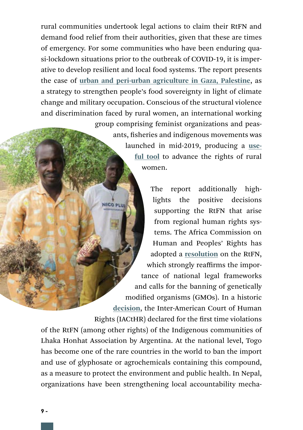rural communities undertook legal actions to claim their RtFN and demand food relief from their authorities, given that these are times of emergency. For some communities who have been enduring quasi-lockdown situations prior to the outbreak of COVID-19, it is imperative to develop resilient and local food systems. The report presents the case of **[urban and peri-urban agriculture in Gaza, Palestine](http://gupap.org/en/)**, as a strategy to strengthen people's food sovereignty in light of climate change and military occupation. Conscious of the structural violence and discrimination faced by rural women, an international working group comprising feminist organizations and peas-

ants, fisheries and indigenous movements was launched in mid-2019, producing a **[use](https://www.righttofoodandnutrition.org/cooking-political-agendas)[ful tool](https://www.righttofoodandnutrition.org/cooking-political-agendas)** to advance the rights of rural women.

The report additionally high-

lights the positive decisions **NICO PLUS** supporting the RtFN that arise from regional human rights systems. The Africa Commission on Human and Peoples' Rights has adopted a **[resolution](https://www.achpr.org/sessions/resolutions?id=462)** on the RtFN, which strongly reaffirms the importance of national legal frameworks and calls for the banning of genetically modified organisms (GMOs). In a historic **[decision](http://www.corteidh.or.cr/docs/casos/articulos/seriec_400_esp.pdf)**, the Inter-American Court of Human Rights (IACtHR) declared for the first time violations of the RtFN (among other rights) of the Indigenous communities of Lhaka Honhat Association by Argentina. At the national level, Togo has become one of the rare countries in the world to ban the import and use of glyphosate or agrochemicals containing this compound, as a measure to protect the environment and public health. In Nepal, organizations have been strengthening local accountability mecha